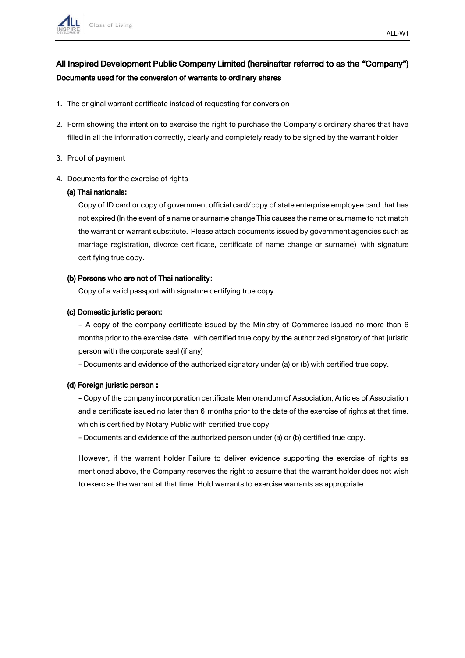

# All Inspired Development Public Company Limited (hereinafter referred to as the "Company") Documents used for the conversion of warrants to ordinary shares

- 1. The original warrant certificate instead of requesting for conversion
- 2. Form showing the intention to exercise the right to purchase the Company's ordinary shares that have filled in all the information correctly, clearly and completely ready to be signed by the warrant holder
- 3. Proof of payment
- 4. Documents for the exercise of rights

#### (a) Thai nationals:

Copy of ID card or copy of government official card/copy of state enterprise employee card that has not expired (In the event of a name or surname change This causes the name or surname to not match the warrant or warrant substitute. Please attach documents issued by government agencies such as marriage registration, divorce certificate, certificate of name change or surname) with signature certifying true copy.

#### (b) Persons who are not of Thai nationality:

Copy of a valid passport with signature certifying true copy

#### (c) Domestic juristic person:

- A copy of the company certificate issued by the Ministry of Commerce issued no more than 6 months prior to the exercise date. with certified true copy by the authorized signatory of that juristic person with the corporate seal (if any)

- Documents and evidence of the authorized signatory under (a) or (b) with certified true copy.

#### (d) Foreign juristic person :

- Copy of the company incorporation certificate Memorandum of Association, Articles of Association and a certificate issued no later than 6 months prior to the date of the exercise of rights at that time. which is certified by Notary Public with certified true copy

- Documents and evidence of the authorized person under (a) or (b) certified true copy.

However, if the warrant holder Failure to deliver evidence supporting the exercise of rights as mentioned above, the Company reserves the right to assume that the warrant holder does not wish to exercise the warrant at that time. Hold warrants to exercise warrants as appropriate